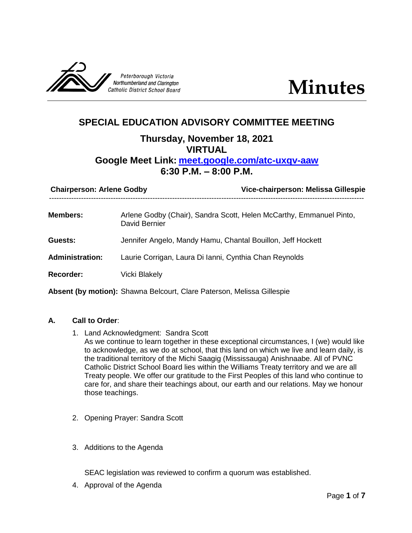

# **SPECIAL EDUCATION ADVISORY COMMITTEE MEETING**

# **Thursday, November 18, 2021 VIRTUAL Google Meet Link: [meet.google.com/atc-uxqv-aaw](http://meet.google.com/atc-uxqv-aawG:/My%20Drive/SPEC%20ED/SEAC/10%202021/meet.google.com/ody-hahv-axn) 6:30 P.M. – 8:00 P.M.**

| <b>Chairperson: Arlene Godby</b> |                                                             | Vice-chairperson: Melissa Gillespie                                 |
|----------------------------------|-------------------------------------------------------------|---------------------------------------------------------------------|
| <b>Members:</b>                  | David Bernier                                               | Arlene Godby (Chair), Sandra Scott, Helen McCarthy, Emmanuel Pinto, |
| <b>Guests:</b>                   | Jennifer Angelo, Mandy Hamu, Chantal Bouillon, Jeff Hockett |                                                                     |
| <b>Administration:</b>           | Laurie Corrigan, Laura Di Ianni, Cynthia Chan Reynolds      |                                                                     |
| <b>Recorder:</b>                 | Vicki Blakely                                               |                                                                     |
|                                  |                                                             |                                                                     |

**Absent (by motion):** Shawna Belcourt, Clare Paterson, Melissa Gillespie

## **A. Call to Order**:

- 1. Land Acknowledgment: Sandra Scott As we continue to learn together in these exceptional circumstances, I (we) would like to acknowledge, as we do at school, that this land on which we live and learn daily, is the traditional territory of the Michi Saagig (Mississauga) Anishnaabe. All of PVNC Catholic District School Board lies within the Williams Treaty territory and we are all Treaty people. We offer our gratitude to the First Peoples of this land who continue to care for, and share their teachings about, our earth and our relations. May we honour those teachings.
- 2. Opening Prayer: Sandra Scott
- 3. Additions to the Agenda

SEAC legislation was reviewed to confirm a quorum was established.

4. Approval of the Agenda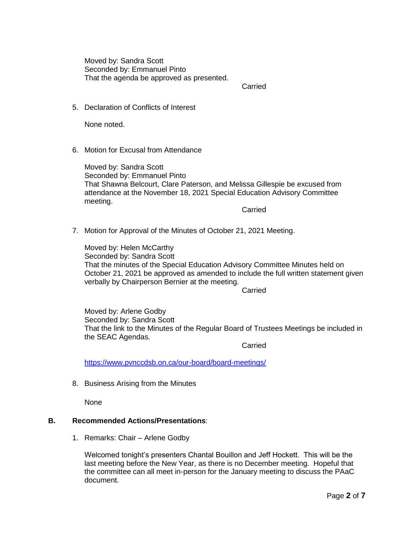Moved by: Sandra Scott Seconded by: Emmanuel Pinto That the agenda be approved as presented.

Carried

5. Declaration of Conflicts of Interest

None noted.

6. Motion for Excusal from Attendance

Moved by: Sandra Scott Seconded by: Emmanuel Pinto That Shawna Belcourt, Clare Paterson, and Melissa Gillespie be excused from attendance at the November 18, 2021 Special Education Advisory Committee meeting.

**Carried** 

7. Motion for Approval of the Minutes of October 21, 2021 Meeting.

Moved by: Helen McCarthy Seconded by: Sandra Scott That the minutes of the Special Education Advisory Committee Minutes held on October 21, 2021 be approved as amended to include the full written statement given verbally by Chairperson Bernier at the meeting.

**Carried** 

Moved by: Arlene Godby Seconded by: Sandra Scott That the link to the Minutes of the Regular Board of Trustees Meetings be included in the SEAC Agendas.

Carried

<https://www.pvnccdsb.on.ca/our-board/board-meetings/>

8. Business Arising from the Minutes

None

#### **B. Recommended Actions/Presentations**:

1. Remarks: Chair – Arlene Godby

Welcomed tonight's presenters Chantal Bouillon and Jeff Hockett. This will be the last meeting before the New Year, as there is no December meeting. Hopeful that the committee can all meet in-person for the January meeting to discuss the PAaC document.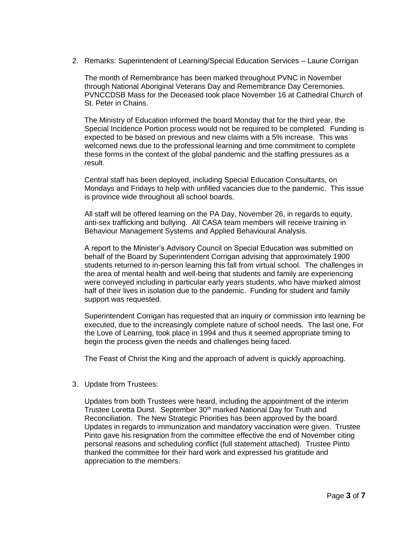2. Remarks: Superintendent of Learning/Special Education Services – Laurie Corrigan

The month of Remembrance has been marked throughout PVNC in November through National Aboriginal Veterans Day and Remembrance Day Ceremonies. PVNCCDSB Mass for the Deceased took place November 16 at Cathedral Church of St. Peter in Chains.

The Ministry of Education informed the board Monday that for the third year, the Special Incidence Portion process would not be required to be completed. Funding is expected to be based on previous and new claims with a 5% increase. This was welcomed news due to the professional learning and time commitment to complete these forms in the context of the global pandemic and the staffing pressures as a result.

Central staff has been deployed, including Special Education Consultants, on Mondays and Fridays to help with unfilled vacancies due to the pandemic. This issue is province wide throughout all school boards.

All staff will be offered learning on the PA Day, November 26, in regards to equity, anti-sex trafficking and bullying. All CASA team members will receive training in Behaviour Management Systems and Applied Behavioural Analysis.

A report to the Minister's Advisory Council on Special Education was submitted on behalf of the Board by Superintendent Corrigan advising that approximately 1900 students returned to in-person learning this fall from virtual school. The challenges in the area of mental health and well-being that students and family are experiencing were conveyed including in particular early years students, who have marked almost half of their lives in isolation due to the pandemic. Funding for student and family support was requested.

Superintendent Corrigan has requested that an inquiry or commission into learning be executed, due to the increasingly complete nature of school needs. The last one, For the Love of Learning, took place in 1994 and thus it seemed appropriate timing to begin the process given the needs and challenges being faced.

The Feast of Christ the King and the approach of advent is quickly approaching.

3. Update from Trustees:

Updates from both Trustees were heard, including the appointment of the interim Trustee Loretta Durst. September 30<sup>th</sup> marked National Day for Truth and Reconciliation. The New Strategic Priorities has been approved by the board. Updates in regards to immunization and mandatory vaccination were given. Trustee Pinto gave his resignation from the committee effective the end of November citing personal reasons and scheduling conflict (full statement attached). Trustee Pinto thanked the committee for their hard work and expressed his gratitude and appreciation to the members.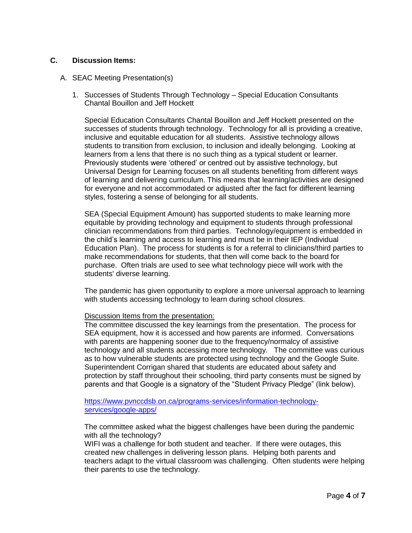### **C. Discussion Items:**

#### A. SEAC Meeting Presentation(s)

1. Successes of Students Through Technology – Special Education Consultants Chantal Bouillon and Jeff Hockett

Special Education Consultants Chantal Bouillon and Jeff Hockett presented on the successes of students through technology. Technology for all is providing a creative, inclusive and equitable education for all students. Assistive technology allows students to transition from exclusion, to inclusion and ideally belonging. Looking at learners from a lens that there is no such thing as a typical student or learner. Previously students were 'othered' or centred out by assistive technology, but Universal Design for Learning focuses on all students benefiting from different ways of learning and delivering curriculum. This means that learning/activities are designed for everyone and not accommodated or adjusted after the fact for different learning styles, fostering a sense of belonging for all students.

SEA (Special Equipment Amount) has supported students to make learning more equitable by providing technology and equipment to students through professional clinician recommendations from third parties. Technology/equipment is embedded in the child's learning and access to learning and must be in their IEP (Individual Education Plan). The process for students is for a referral to clinicians/third parties to make recommendations for students, that then will come back to the board for purchase. Often trials are used to see what technology piece will work with the students' diverse learning.

The pandemic has given opportunity to explore a more universal approach to learning with students accessing technology to learn during school closures.

#### Discussion Items from the presentation:

The committee discussed the key learnings from the presentation. The process for SEA equipment, how it is accessed and how parents are informed. Conversations with parents are happening sooner due to the frequency/normalcy of assistive technology and all students accessing more technology. The committee was curious as to how vulnerable students are protected using technology and the Google Suite. Superintendent Corrigan shared that students are educated about safety and protection by staff throughout their schooling, third party consents must be signed by parents and that Google is a signatory of the "Student Privacy Pledge" (link below).

[https://www.pvnccdsb.on.ca/programs-services/information-technology](https://www.pvnccdsb.on.ca/programs-services/information-technology-services/google-apps/)[services/google-apps/](https://www.pvnccdsb.on.ca/programs-services/information-technology-services/google-apps/)

The committee asked what the biggest challenges have been during the pandemic with all the technology?

WIFI was a challenge for both student and teacher. If there were outages, this created new challenges in delivering lesson plans. Helping both parents and teachers adapt to the virtual classroom was challenging. Often students were helping their parents to use the technology.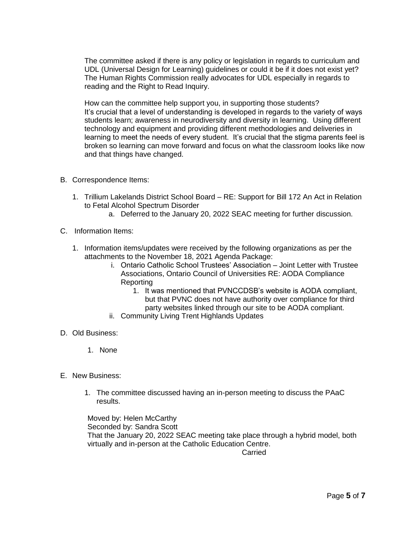The committee asked if there is any policy or legislation in regards to curriculum and UDL (Universal Design for Learning) guidelines or could it be if it does not exist yet? The Human Rights Commission really advocates for UDL especially in regards to reading and the Right to Read Inquiry.

How can the committee help support you, in supporting those students? It's crucial that a level of understanding is developed in regards to the variety of ways students learn; awareness in neurodiversity and diversity in learning. Using different technology and equipment and providing different methodologies and deliveries in learning to meet the needs of every student. It's crucial that the stigma parents feel is broken so learning can move forward and focus on what the classroom looks like now and that things have changed.

- B. Correspondence Items:
	- 1. Trillium Lakelands District School Board RE: Support for Bill 172 An Act in Relation to Fetal Alcohol Spectrum Disorder
		- a. Deferred to the January 20, 2022 SEAC meeting for further discussion.
- C. Information Items:
	- 1. Information items/updates were received by the following organizations as per the attachments to the November 18, 2021 Agenda Package:
		- i. Ontario Catholic School Trustees' Association Joint Letter with Trustee Associations, Ontario Council of Universities RE: AODA Compliance Reporting
			- 1. It was mentioned that PVNCCDSB's website is AODA compliant, but that PVNC does not have authority over compliance for third party websites linked through our site to be AODA compliant.
		- ii. Community Living Trent Highlands Updates
- D. Old Business:
	- 1. None
- E. New Business:
	- 1. The committee discussed having an in-person meeting to discuss the PAaC results.

Moved by: Helen McCarthy Seconded by: Sandra Scott That the January 20, 2022 SEAC meeting take place through a hybrid model, both virtually and in-person at the Catholic Education Centre.

**Carried**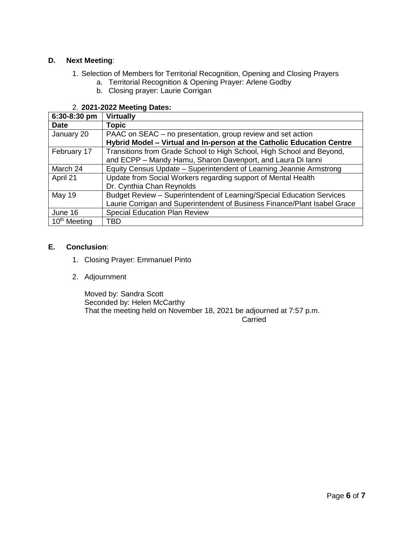## **D. Next Meeting**:

- 1. Selection of Members for Territorial Recognition, Opening and Closing Prayers
	- a. Territorial Recognition & Opening Prayer: Arlene Godby
	- b. Closing prayer: Laurie Corrigan

## 2. **2021-2022 Meeting Dates:**

| 6:30-8:30 pm             | <b>Virtually</b>                                                          |  |
|--------------------------|---------------------------------------------------------------------------|--|
| <b>Date</b>              | <b>Topic</b>                                                              |  |
| January 20               | PAAC on SEAC – no presentation, group review and set action               |  |
|                          | Hybrid Model - Virtual and In-person at the Catholic Education Centre     |  |
| February 17              | Transitions from Grade School to High School, High School and Beyond,     |  |
|                          | and ECPP - Mandy Hamu, Sharon Davenport, and Laura Di lanni               |  |
| March 24                 | Equity Census Update - Superintendent of Learning Jeannie Armstrong       |  |
| April 21                 | Update from Social Workers regarding support of Mental Health             |  |
|                          | Dr. Cynthia Chan Reynolds                                                 |  |
| <b>May 19</b>            | Budget Review - Superintendent of Learning/Special Education Services     |  |
|                          | Laurie Corrigan and Superintendent of Business Finance/Plant Isabel Grace |  |
| June 16                  | <b>Special Education Plan Review</b>                                      |  |
| 10 <sup>th</sup> Meeting | TBD                                                                       |  |

### **E. Conclusion**:

- 1. Closing Prayer: Emmanuel Pinto
- 2. Adjournment

Moved by: Sandra Scott Seconded by: Helen McCarthy That the meeting held on November 18, 2021 be adjourned at 7:57 p.m.

**Carried**